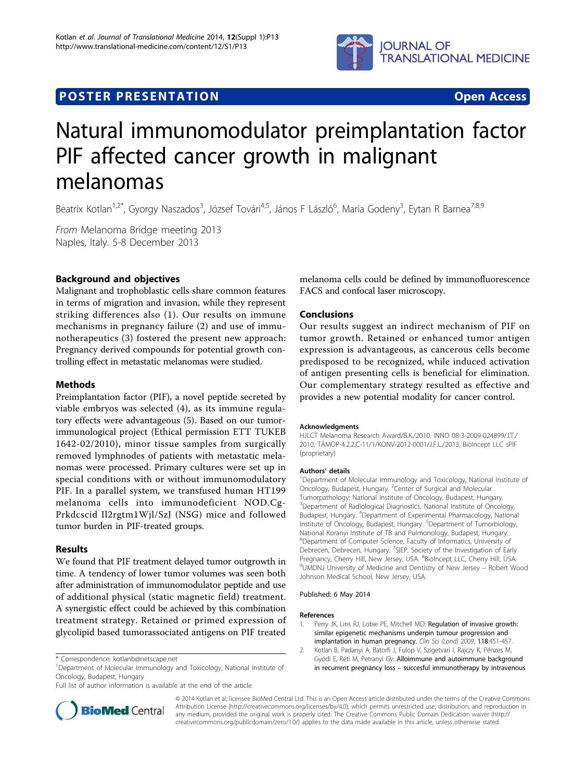

## **POSTER PRESENTATION CONSUMING THE SERVICE SERVICE SERVICES**



# Natural immunomodulator preimplantation factor PIF affected cancer growth in malignant melanomas

Beatrix Kotlan<sup>1,2\*</sup>, Gyorgy Naszados<sup>3</sup>, József Továri<sup>4,5</sup>, János F László<sup>6</sup>, Maria Godeny<sup>3</sup>, Eytan R Barnea<sup>7,8,9</sup>

From Melanoma Bridge meeting 2013 Naples, Italy. 5-8 December 2013

### Background and objectives

Malignant and trophoblastic cells share common features in terms of migration and invasion, while they represent striking differences also (1). Our results on immune mechanisms in pregnancy failure (2) and use of immunotherapeutics (3) fostered the present new approach: Pregnancy derived compounds for potential growth controlling effect in metastatic melanomas were studied.

#### Methods

Preimplantation factor (PIF), a novel peptide secreted by viable embryos was selected (4), as its immune regulatory effects were advantageous (5). Based on our tumorimmunological project (Ethical permission ETT TUKEB 1642-02/2010), minor tissue samples from surgically removed lymphnodes of patients with metastatic melanomas were processed. Primary cultures were set up in special conditions with or without immunomodulatory PIF. In a parallel system, we transfused human HT199 melanoma cells into immunodeficient NOD.Cg-Prkdcscid Il2rgtm1Wjl/SzJ (NSG) mice and followed tumor burden in PIF-treated groups.

#### Results

We found that PIF treatment delayed tumor outgrowth in time. A tendency of lower tumor volumes was seen both after administration of immunomodulator peptide and use of additional physical (static magnetic field) treatment. A synergistic effect could be achieved by this combination treatment strategy. Retained or primed expression of glycolipid based tumorassociated antigens on PIF treated

Full list of author information is available at the end of the article



melanoma cells could be defined by immunofluorescence FACS and confocal laser microscopy.

#### Conclusions

Our results suggest an indirect mechanism of PIF on tumor growth. Retained or enhanced tumor antigen expression is advantageous, as cancerous cells become predisposed to be recognized, while induced activation of antigen presenting cells is beneficial for elimination. Our complementary strategy resulted as effective and provides a new potential modality for cancer control.

#### Acknowledgments

HJLCT Melanoma Research Award/B.K./2010, INNO 08-3-2009-024899/J.T./ 2010, TÁMOP-4.2.2.C-11/1/KONV-2012-0001/J.F.L./2013, BioIncept LLC sPIF (proprietary)

Authors' details<br><sup>1</sup>Department of Molecular Immunology and Toxicology, National Institute of Oncology, Budapest, Hungary. <sup>2</sup>Center of Surgical and Molecular Tumorpathology; National Institute of Oncology, Budapest, Hungary. <sup>3</sup>Department of Radiological Diagnostics, National Institute of Oncology Budapest, Hungary. <sup>4</sup> Department of Experimental Pharmacology, National Institute of Oncology, Budapest, Hungary. <sup>5</sup>Department of Tumorbiology National Koranyi Institute of TB and Pulmonology, Budapest, Hungary. 6 Department of Computer Science, Faculty of Informatics, University of Debrecen, Debrecen, Hungary. <sup>7</sup>SIEP, Society of the Investigation of Early Pregnancy, Cherry Hill, New Jersey, USA. <sup>8</sup>BioIncept LLC, Cherry Hill, USA.<br><sup>9</sup> IMDNL University of Medicine and Dentistry of New Jersey - Bobert W UMDNJ University of Medicine and Dentistry of New Jersey – Robert Wood Johnson Medical School, New Jersey, USA.

#### Published: 6 May 2014

#### References

- Perry JK, Lins RJ, Lobie PE, Mitchell MD: [Regulation of invasive growth:](http://www.ncbi.nlm.nih.gov/pubmed/20025611?dopt=Abstract) [similar epigenetic mechanisms underpin tumour progression and](http://www.ncbi.nlm.nih.gov/pubmed/20025611?dopt=Abstract) [implantation in human pregnancy.](http://www.ncbi.nlm.nih.gov/pubmed/20025611?dopt=Abstract) Clin Sci (Lond) 2009, 118:451-457.
- 2. Kotlan B, Padanyi A, Batorfi J, Fulop V, Szigetvari I, Rajczy K, Pénzes M, Gyódi E, Réti M, Petranyi Gy: [Alloimmune and autoimmune background](http://www.ncbi.nlm.nih.gov/pubmed/16635207?dopt=Abstract) in recurrent pregnancy loss – [succesful immunotherapy by intravenous](http://www.ncbi.nlm.nih.gov/pubmed/16635207?dopt=Abstract)

© 2014 Kotlan et al; licensee BioMed Central Ltd. This is an Open Access article distributed under the terms of the Creative Commons Attribution License [\(http://creativecommons.org/licenses/by/4.0](http://creativecommons.org/licenses/by/4.0)), which permits unrestricted use, distribution, and reproduction in any medium, provided the original work is properly cited. The Creative Commons Public Domain Dedication waiver [\(http://](http://creativecommons.org/publicdomain/zero/1.0/) [creativecommons.org/publicdomain/zero/1.0/](http://creativecommons.org/publicdomain/zero/1.0/)) applies to the data made available in this article, unless otherwise stated.

<sup>\*</sup> Correspondence: [kotlanb@netscape.net](mailto:kotlanb@netscape.net)

<sup>&</sup>lt;sup>1</sup>Department of Molecular Immunology and Toxicology, National Institute of Oncology, Budapest, Hungary